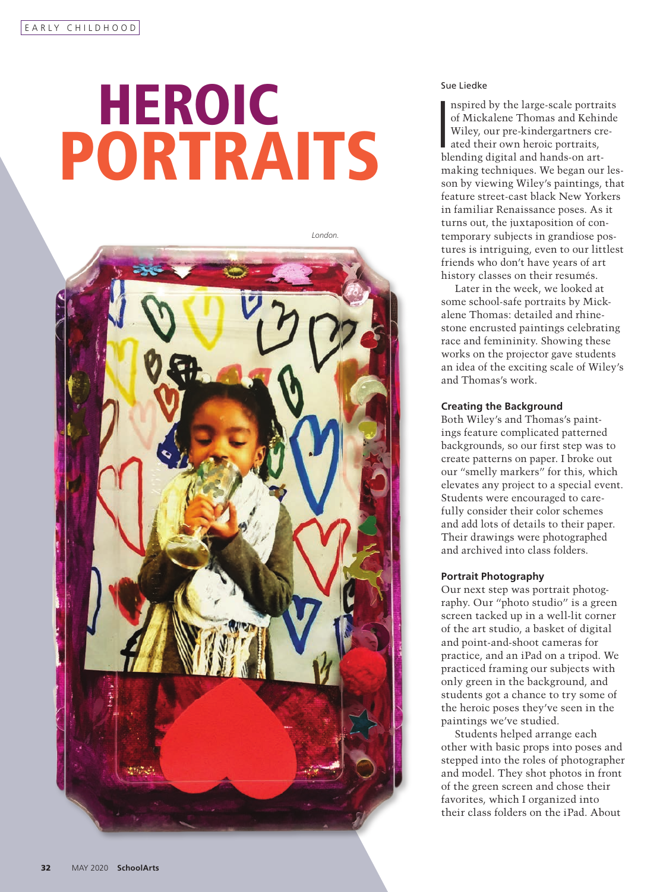# **Sue Liedke**<br> **Sue Liedke**<br> **Sue Liedke**<br> **Sue Liedke**<br> **Sue Liedke**<br> **Sue Liedke**<br> **Sue Liedke**<br> **Sue Liedke** PORTRAITS



nspired by the large-scale portra<br>of Mickalene Thomas and Kehii<br>Wiley, our pre-kindergartners cr<br>ated their own heroic portraits,<br>blending digital and hands-on artnspired by the large-scale portraits of Mickalene Thomas and Kehinde Wiley, our pre-kindergartners created their own heroic portraits, making techniques. We began our lesson by viewing Wiley's paintings, that feature street-cast black New Yorkers in familiar Renaissance poses. As it turns out, the juxtaposition of contemporary subjects in grandiose postures is intriguing, even to our littlest friends who don't have years of art history classes on their resumés.

Later in the week, we looked at some school-safe portraits by Mickalene Thomas: detailed and rhinestone encrusted paintings celebrating race and femininity. Showing these works on the projector gave students an idea of the exciting scale of Wiley's and Thomas's work.

#### **Creating the Background**

Both Wiley's and Thomas's paintings feature complicated patterned backgrounds, so our first step was to create patterns on paper. I broke out our "smelly markers" for this, which elevates any project to a special event. Students were encouraged to carefully consider their color schemes and add lots of details to their paper. Their drawings were photographed and archived into class folders.

## **Portrait Photography**

Our next step was portrait photography. Our "photo studio" is a green screen tacked up in a well-lit corner of the art studio, a basket of digital and point-and-shoot cameras for practice, and an iPad on a tripod. We practiced framing our subjects with only green in the background, and students got a chance to try some of the heroic poses they've seen in the paintings we've studied.

Students helped arrange each other with basic props into poses and stepped into the roles of photographer and model. They shot photos in front of the green screen and chose their favorites, which I organized into their class folders on the iPad. About